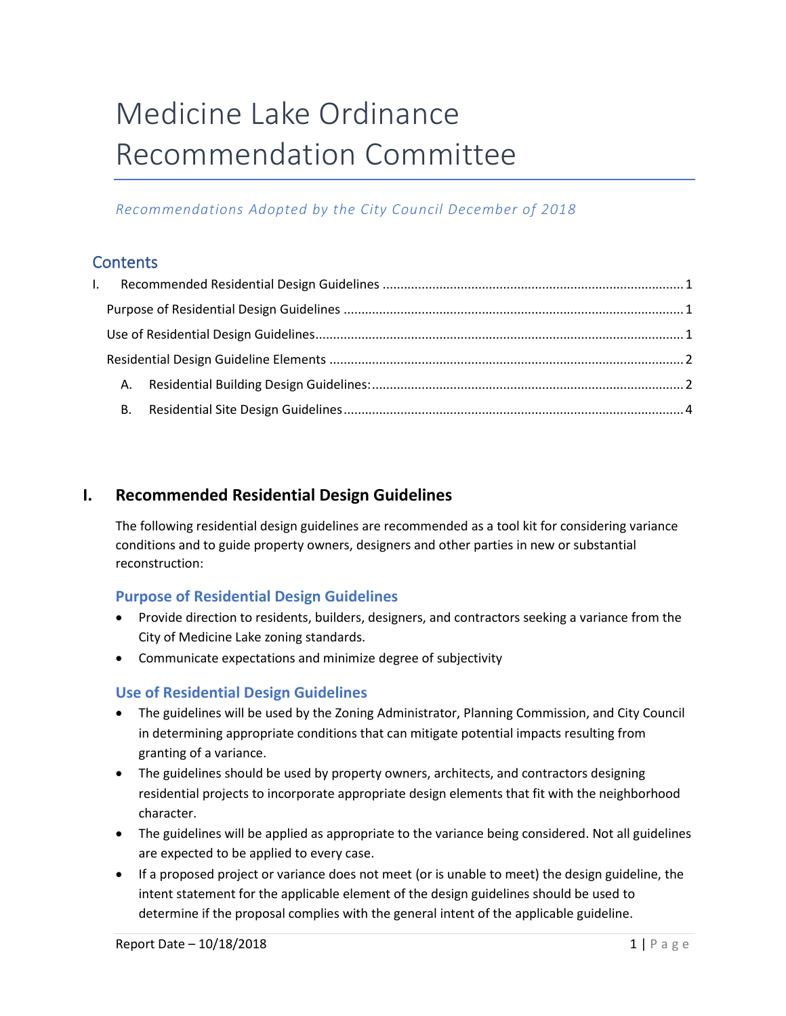# Medicine Lake Ordinance Recommendation Committee

# *Recommendations Adopted by the City Council December of 2018*

# **Contents**

| $\mathbf{L}$ |  |  |
|--------------|--|--|
|              |  |  |
|              |  |  |
|              |  |  |
|              |  |  |
|              |  |  |

# <span id="page-0-0"></span>**I. Recommended Residential Design Guidelines**

The following residential design guidelines are recommended as a tool kit for considering variance conditions and to guide property owners, designers and other parties in new or substantial reconstruction:

# <span id="page-0-1"></span>**Purpose of Residential Design Guidelines**

- Provide direction to residents, builders, designers, and contractors seeking a variance from the City of Medicine Lake zoning standards.
- Communicate expectations and minimize degree of subjectivity

# <span id="page-0-2"></span>**Use of Residential Design Guidelines**

- The guidelines will be used by the Zoning Administrator, Planning Commission, and City Council in determining appropriate conditions that can mitigate potential impacts resulting from granting of a variance.
- The guidelines should be used by property owners, architects, and contractors designing residential projects to incorporate appropriate design elements that fit with the neighborhood character.
- The guidelines will be applied as appropriate to the variance being considered. Not all guidelines are expected to be applied to every case.
- If a proposed project or variance does not meet (or is unable to meet) the design guideline, the intent statement for the applicable element of the design guidelines should be used to determine if the proposal complies with the general intent of the applicable guideline.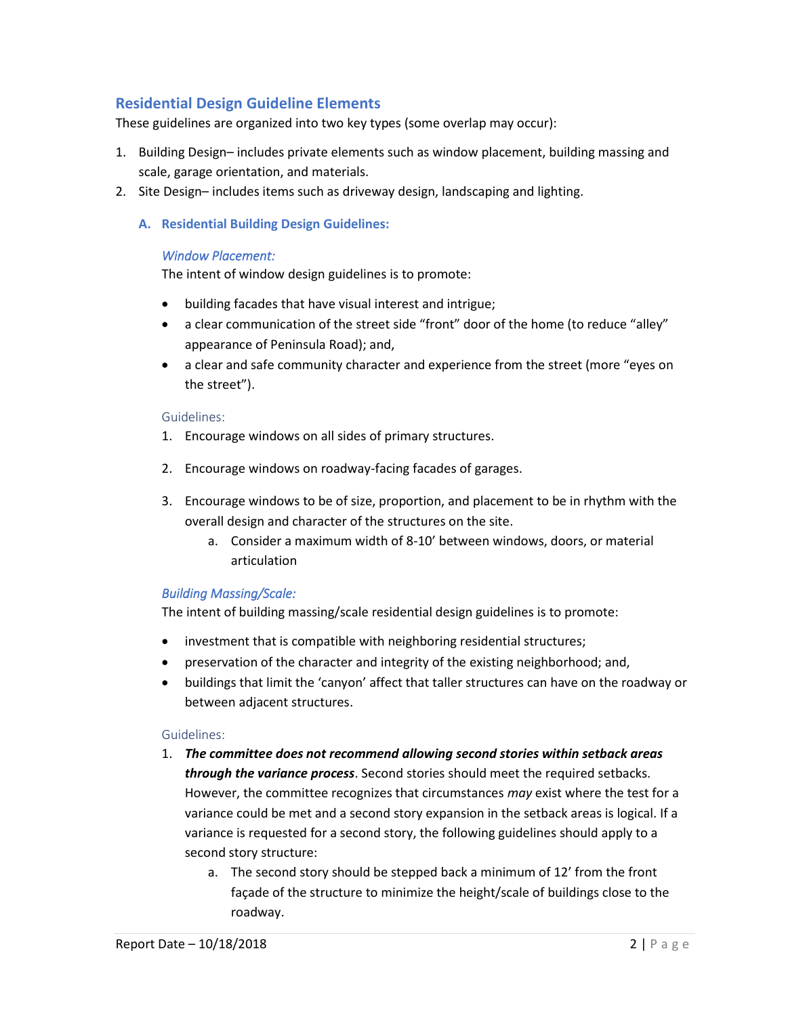# <span id="page-1-0"></span>**Residential Design Guideline Elements**

These guidelines are organized into two key types (some overlap may occur):

- 1. Building Design– includes private elements such as window placement, building massing and scale, garage orientation, and materials.
- <span id="page-1-1"></span>2. Site Design– includes items such as driveway design, landscaping and lighting.
	- **A. Residential Building Design Guidelines:**

#### *Window Placement:*

The intent of window design guidelines is to promote:

- building facades that have visual interest and intrigue;
- a clear communication of the street side "front" door of the home (to reduce "alley" appearance of Peninsula Road); and,
- a clear and safe community character and experience from the street (more "eyes on the street").

#### Guidelines:

- 1. Encourage windows on all sides of primary structures.
- 2. Encourage windows on roadway-facing facades of garages.
- 3. Encourage windows to be of size, proportion, and placement to be in rhythm with the overall design and character of the structures on the site.
	- a. Consider a maximum width of 8-10' between windows, doors, or material articulation

## *Building Massing/Scale:*

The intent of building massing/scale residential design guidelines is to promote:

- investment that is compatible with neighboring residential structures;
- preservation of the character and integrity of the existing neighborhood; and,
- buildings that limit the 'canyon' affect that taller structures can have on the roadway or between adjacent structures.

#### Guidelines:

- 1. *The committee does not recommend allowing second stories within setback areas through the variance process*. Second stories should meet the required setbacks. However, the committee recognizes that circumstances *may* exist where the test for a variance could be met and a second story expansion in the setback areas is logical. If a variance is requested for a second story, the following guidelines should apply to a second story structure:
	- a. The second story should be stepped back a minimum of 12' from the front façade of the structure to minimize the height/scale of buildings close to the roadway.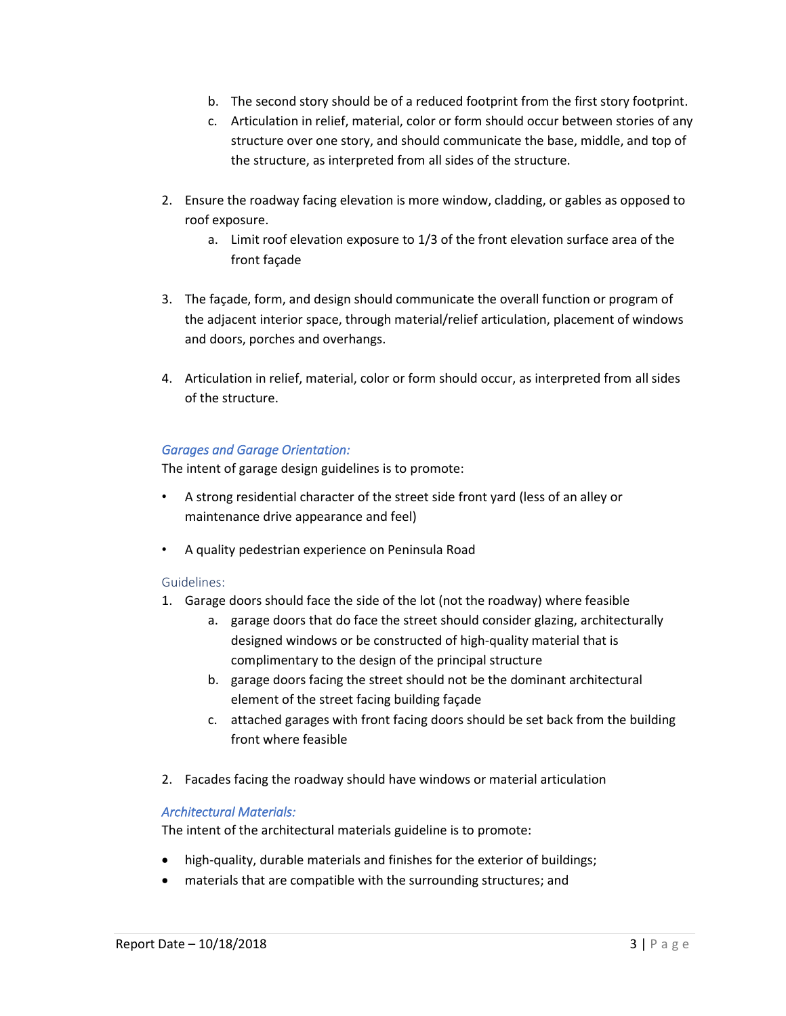- b. The second story should be of a reduced footprint from the first story footprint.
- c. Articulation in relief, material, color or form should occur between stories of any structure over one story, and should communicate the base, middle, and top of the structure, as interpreted from all sides of the structure.
- 2. Ensure the roadway facing elevation is more window, cladding, or gables as opposed to roof exposure.
	- a. Limit roof elevation exposure to 1/3 of the front elevation surface area of the front façade
- 3. The façade, form, and design should communicate the overall function or program of the adjacent interior space, through material/relief articulation, placement of windows and doors, porches and overhangs.
- 4. Articulation in relief, material, color or form should occur, as interpreted from all sides of the structure.

## *Garages and Garage Orientation:*

The intent of garage design guidelines is to promote:

- A strong residential character of the street side front yard (less of an alley or maintenance drive appearance and feel)
- A quality pedestrian experience on Peninsula Road

#### Guidelines:

- 1. Garage doors should face the side of the lot (not the roadway) where feasible
	- a. garage doors that do face the street should consider glazing, architecturally designed windows or be constructed of high-quality material that is complimentary to the design of the principal structure
	- b. garage doors facing the street should not be the dominant architectural element of the street facing building façade
	- c. attached garages with front facing doors should be set back from the building front where feasible
- 2. Facades facing the roadway should have windows or material articulation

## *Architectural Materials:*

The intent of the architectural materials guideline is to promote:

- high-quality, durable materials and finishes for the exterior of buildings;
- materials that are compatible with the surrounding structures; and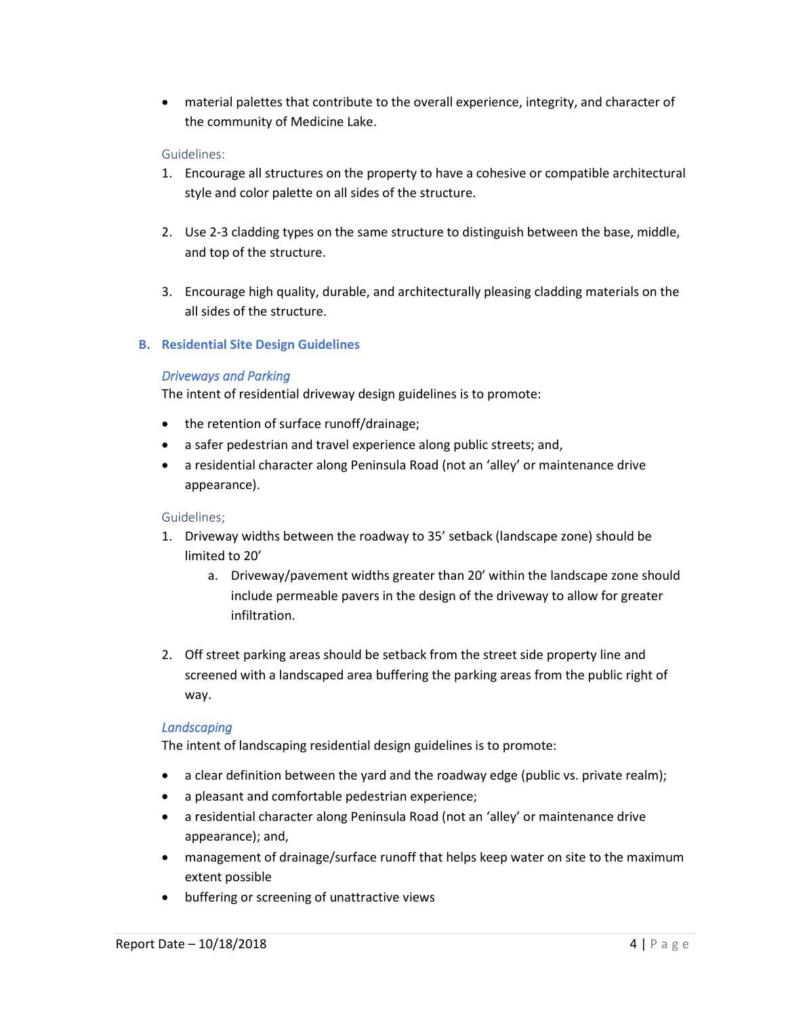• material palettes that contribute to the overall experience, integrity, and character of the community of Medicine Lake.

### Guidelines:

- 1. Encourage all structures on the property to have a cohesive or compatible architectural style and color palette on all sides of the structure.
- 2. Use 2-3 cladding types on the same structure to distinguish between the base, middle, and top of the structure.
- 3. Encourage high quality, durable, and architecturally pleasing cladding materials on the all sides of the structure.

## <span id="page-3-0"></span>**B. Residential Site Design Guidelines**

## *Driveways and Parking*

The intent of residential driveway design guidelines is to promote:

- the retention of surface runoff/drainage;
- a safer pedestrian and travel experience along public streets; and,
- a residential character along Peninsula Road (not an 'alley' or maintenance drive appearance).

#### Guidelines;

- 1. Driveway widths between the roadway to 35' setback (landscape zone) should be limited to 20'
	- a. Driveway/pavement widths greater than 20' within the landscape zone should include permeable pavers in the design of the driveway to allow for greater infiltration.
- 2. Off street parking areas should be setback from the street side property line and screened with a landscaped area buffering the parking areas from the public right of way.

#### *Landscaping*

The intent of landscaping residential design guidelines is to promote:

- a clear definition between the yard and the roadway edge (public vs. private realm);
- a pleasant and comfortable pedestrian experience;
- a residential character along Peninsula Road (not an 'alley' or maintenance drive appearance); and,
- management of drainage/surface runoff that helps keep water on site to the maximum extent possible
- buffering or screening of unattractive views